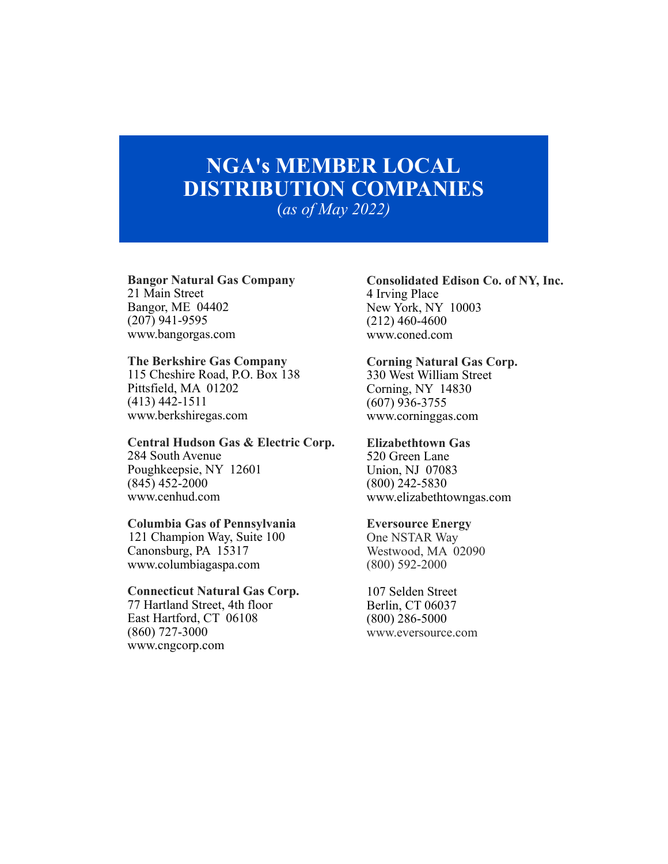# **NGA's MEMBER LOCAL DISTRIBUTION COMPANIES**

(*as of May 2022)*

#### **Bangor Natural Gas Company**

21 Main Street Bangor, ME 04402 (207) 941-9595 www.bangorgas.com

## **The Berkshire Gas Company**

115 Cheshire Road, P.O. Box 138 Pittsfield, MA 01202 (413) 442-1511 www.berkshiregas.com

#### **Central Hudson Gas & Electric Corp.** 284 South Avenue

Poughkeepsie, NY 12601  $(845)$  452-2000 www.cenhud.com

## **Columbia Gas of Pennsylvania**

 121 Champion Way, Suite 100 Canonsburg, PA 15317 www.columbiagaspa.com

## **Connecticut Natural Gas Corp.**

77 Hartland Street, 4th floor East Hartford, CT 06108 (860) 727-3000 www.cngcorp.com

#### **Consolidated Edison Co. of NY, Inc.** 4 Irving Place

New York, NY 10003 (212) 460-4600 www.coned.com

## **Corning Natural Gas Corp.**

330 West William Street Corning, NY 14830 (607) 936-3755 www.corninggas.com

## **Elizabethtown Gas**

520 Green Lane Union, NJ 07083 (800) 242-5830 www.elizabethtowngas.com

## **Eversource Energy**

One NSTAR Way Westwood, MA 02090 (800) 592-2000

107 Selden Street Berlin, CT 06037 (800) 286-5000 www.eversource.com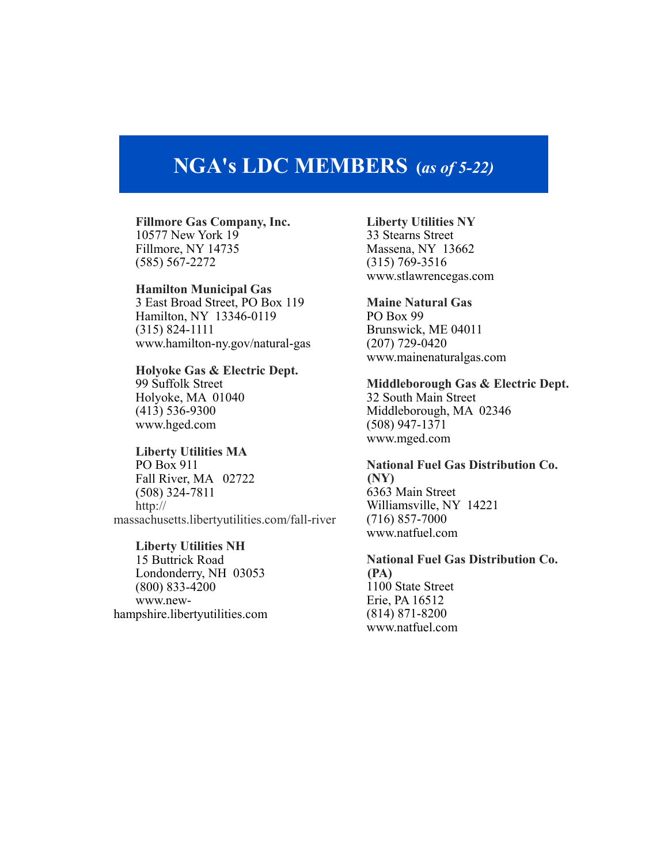# **NGA's LDC MEMBERS (***as of 5-22)*

#### **Fillmore Gas Company, Inc.**  10577 New York 19

Fillmore, NY 14735 (585) 567-2272

#### **Hamilton Municipal Gas**

3 East Broad Street, PO Box 119 Hamilton, NY 13346-0119 (315) 824-1111 www.hamilton-ny.gov/natural-gas

#### **Holyoke Gas & Electric Dept.**  99 Suffolk Street

Holyoke, MA 01040 (413) 536-9300 www.hged.com

## **Liberty Utilities MA**

PO Box 911 Fall River, MA 02722 (508) 324-7811 http:// massachusetts.libertyutilities.com/fall-river

## **Liberty Utilities NH**  15 Buttrick Road Londonderry, NH 03053 (800) 833-4200 www.newhampshire.libertyutilities.com

**Liberty Utilities NY**  33 Stearns Street Massena, NY 13662 (315) 769-3516 www.stlawrencegas.com

## **Maine Natural Gas**

PO Box 99 Brunswick, ME 04011 (207) 729-0420 www.mainenaturalgas.com

**Middleborough Gas & Electric Dept.** 32 South Main Street Middleborough, MA 02346 (508) 947-1371 www.mged.com

**National Fuel Gas Distribution Co. (NY)**  6363 Main Street Williamsville, NY 14221 (716) 857-7000 www.natfuel.com

### **National Fuel Gas Distribution Co. (PA)**  1100 State Street Erie, PA 16512 (814) 871-8200 www.natfuel.com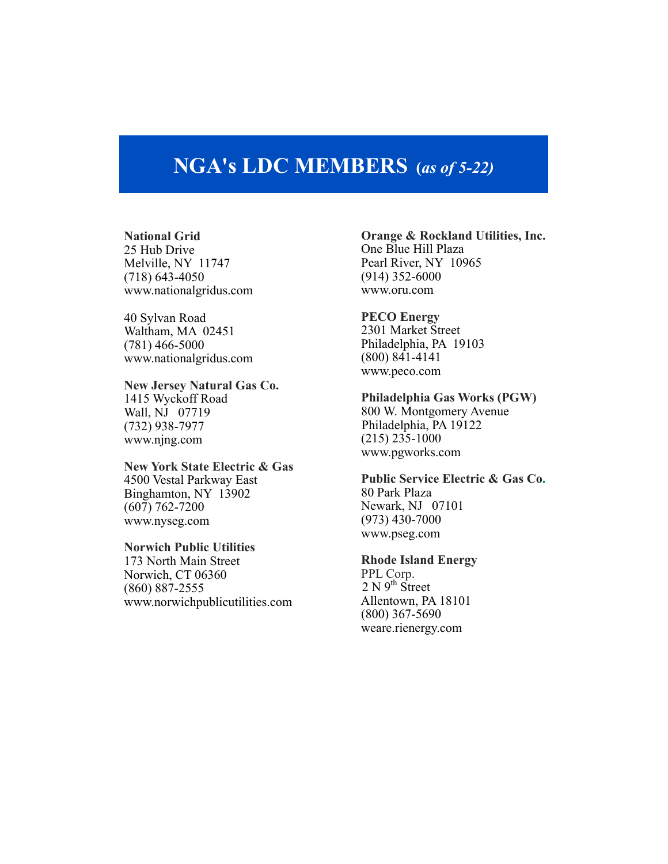# **NGA's LDC MEMBERS (***as of 5-22)*

## **National Grid**

25 Hub Drive Melville, NY 11747 (718) 643-4050 www.nationalgridus.com

40 Sylvan Road Waltham, MA 02451 (781) 466-5000 www.nationalgridus.com

## **New Jersey Natural Gas Co.**

1415 Wyckoff Road Wall, NJ 07719 (732) 938-7977 www.njng.com

## **New York State Electric & Gas**

4500 Vestal Parkway East Binghamton, NY 13902 (607) 762-7200 www.nyseg.com

#### **Norwich Public Utilities**

173 North Main Street Norwich, CT 06360 (860) 887-2555 www.norwichpublicutilities.com

#### **Orange & Rockland Utilities, Inc.** One Blue Hill Plaza

Pearl River, NY 10965 (914) 352-6000 www.oru.com

#### **PECO Energy**

2301 Market Street Philadelphia, PA 19103 (800) 841-4141 www.peco.com

## **Philadelphia Gas Works (PGW)**

800 W. Montgomery Avenue Philadelphia, PA 19122 (215) 235-1000 www.pgworks.com

#### **Public Service Electric & Gas Co.** 80 Park Plaza

Newark, NJ 07101 (973) 430-7000 www.pseg.com

## **Rhode Island Energy**

PPL Corp.  $2 N 9<sup>th</sup>$  Street Allentown, PA 18101 (800) 367-5690 weare.rienergy.com